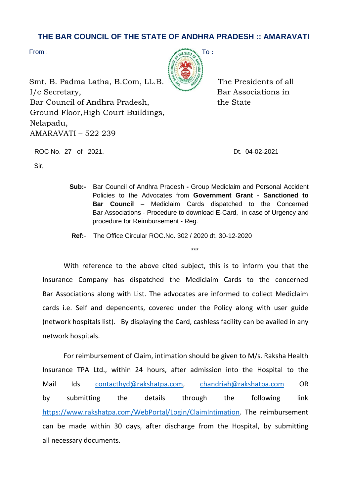## **THE BAR COUNCIL OF THE STATE OF ANDHRA PRADESH :: AMARAVATI**

Sir,



Smt. B. Padma Latha, B.Com, LL.B.  $\frac{1}{2}$  The Presidents of all I/c Secretary, Bar Associations in Bar Council of Andhra Pradesh, the State Ground Floor,High Court Buildings, Nelapadu, AMARAVATI – 522 239

ROC No. 27 of 2021. Dt. 04-02-2021

- **Sub:-** Bar Council of Andhra Pradesh **-** Group Mediclaim and Personal Accident Policies to the Advocates from **Government Grant - Sanctioned to Bar Council** – Mediclaim Cards dispatched to the Concerned Bar Associations - Procedure to download E-Card, in case of Urgency and procedure for Reimbursement - Reg.
- **Ref:** The Office Circular ROC.No. 302 / 2020 dt. 30-12-2020

\*\*\*

With reference to the above cited subject, this is to inform you that the Insurance Company has dispatched the Mediclaim Cards to the concerned Bar Associations along with List. The advocates are informed to collect Mediclaim cards i.e. Self and dependents, covered under the Policy along with user guide (network hospitals list). By displaying the Card, cashless facility can be availed in any network hospitals.

For reimbursement of Claim, intimation should be given to M/s. Raksha Health Insurance TPA Ltd., within 24 hours, after admission into the Hospital to the Mail Ids [contacthyd@rakshatpa.com,](mailto:contacthyd@rakshatpa.com) [chandriah@rakshatpa.com](mailto:chandriah@rakshatpa.com) OR by submitting the details through the following link [https://www.rakshatpa.com/WebPortal/Login/ClaimIntimation.](https://www.rakshatpa.com/WebPortal/Login/ClaimIntimation) The reimbursement can be made within 30 days, after discharge from the Hospital, by submitting all necessary documents.